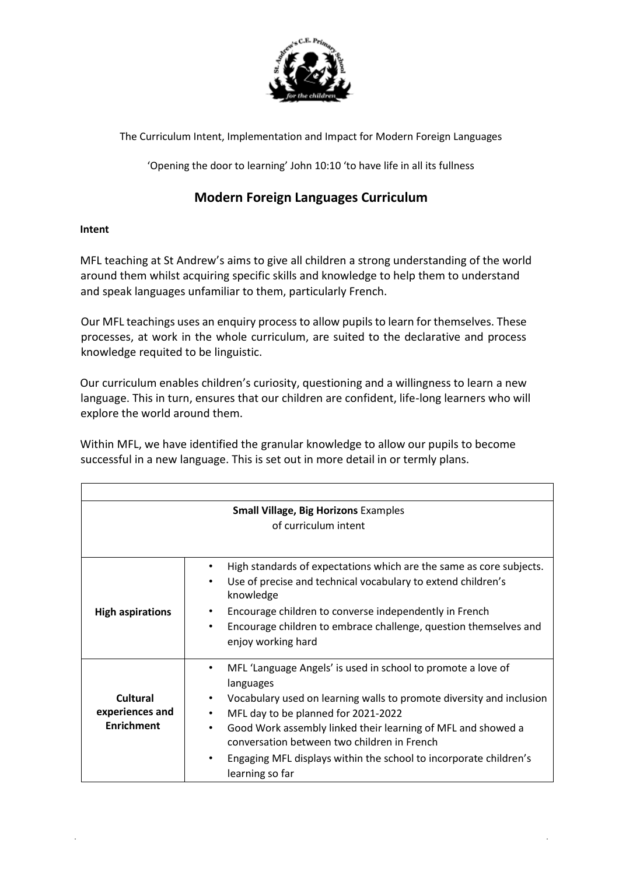

The Curriculum Intent, Implementation and Impact for Modern Foreign Languages

'Opening the door to learning' John 10:10 'to have life in all its fullness

# **Modern Foreign Languages Curriculum**

# **Intent**

MFL teaching at St Andrew's aims to give all children a strong understanding of the world around them whilst acquiring specific skills and knowledge to help them to understand and speak languages unfamiliar to them, particularly French.

Our MFL teachings uses an enquiry process to allow pupils to learn for themselves. These processes, at work in the whole curriculum, are suited to the declarative and process knowledge requited to be linguistic.

Our curriculum enables children's curiosity, questioning and a willingness to learn a new language. This in turn, ensures that our children are confident, life-long learners who will explore the world around them.

Within MFL, we have identified the granular knowledge to allow our pupils to become successful in a new language. This is set out in more detail in or termly plans.

| <b>Small Village, Big Horizons Examples</b><br>of curriculum intent |                                                                                                                                                                                                                                                                                                                                                                                                                        |  |
|---------------------------------------------------------------------|------------------------------------------------------------------------------------------------------------------------------------------------------------------------------------------------------------------------------------------------------------------------------------------------------------------------------------------------------------------------------------------------------------------------|--|
| <b>High aspirations</b>                                             | High standards of expectations which are the same as core subjects.<br>٠<br>Use of precise and technical vocabulary to extend children's<br>$\bullet$<br>knowledge<br>Encourage children to converse independently in French<br>٠<br>Encourage children to embrace challenge, question themselves and<br>٠<br>enjoy working hard                                                                                       |  |
| Cultural<br>experiences and<br><b>Enrichment</b>                    | MFL 'Language Angels' is used in school to promote a love of<br>٠<br>languages<br>Vocabulary used on learning walls to promote diversity and inclusion<br>MFL day to be planned for 2021-2022<br>Good Work assembly linked their learning of MFL and showed a<br>$\bullet$<br>conversation between two children in French<br>Engaging MFL displays within the school to incorporate children's<br>٠<br>learning so far |  |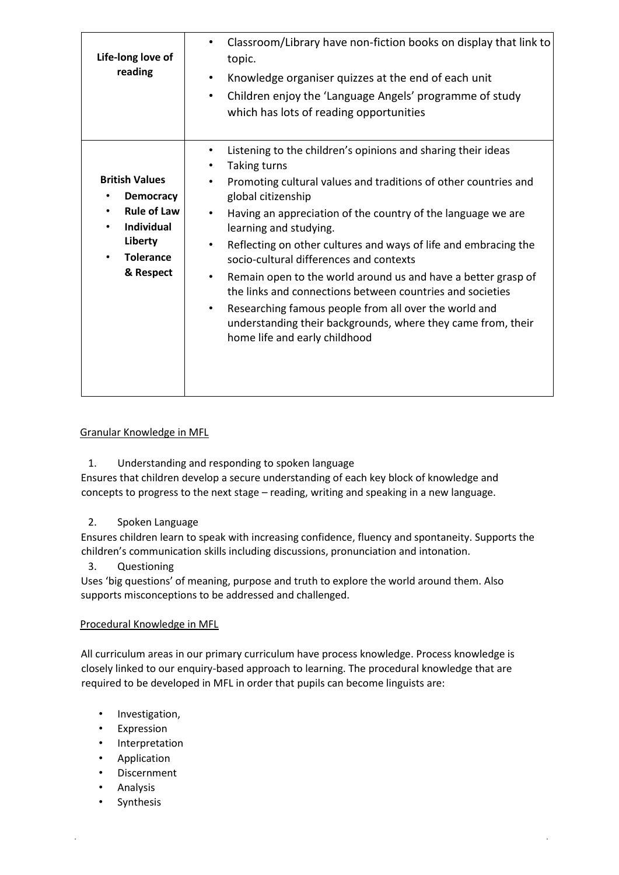| Life-long love of<br>reading                                                                                                                               | Classroom/Library have non-fiction books on display that link to<br>٠<br>topic.<br>Knowledge organiser quizzes at the end of each unit<br>$\bullet$<br>Children enjoy the 'Language Angels' programme of study<br>$\bullet$<br>which has lots of reading opportunities                                                                                                                                                                                                                                                                                                                                                                                                                                                  |
|------------------------------------------------------------------------------------------------------------------------------------------------------------|-------------------------------------------------------------------------------------------------------------------------------------------------------------------------------------------------------------------------------------------------------------------------------------------------------------------------------------------------------------------------------------------------------------------------------------------------------------------------------------------------------------------------------------------------------------------------------------------------------------------------------------------------------------------------------------------------------------------------|
| <b>British Values</b><br><b>Democracy</b><br><b>Rule of Law</b><br>$\bullet$<br><b>Individual</b><br>$\bullet$<br>Liberty<br><b>Tolerance</b><br>& Respect | Listening to the children's opinions and sharing their ideas<br>٠<br><b>Taking turns</b><br>٠<br>Promoting cultural values and traditions of other countries and<br>٠<br>global citizenship<br>Having an appreciation of the country of the language we are<br>$\bullet$<br>learning and studying.<br>Reflecting on other cultures and ways of life and embracing the<br>٠<br>socio-cultural differences and contexts<br>Remain open to the world around us and have a better grasp of<br>٠<br>the links and connections between countries and societies<br>Researching famous people from all over the world and<br>٠<br>understanding their backgrounds, where they came from, their<br>home life and early childhood |

# Granular Knowledge in MFL

1. Understanding and responding to spoken language

Ensures that children develop a secure understanding of each key block of knowledge and concepts to progress to the next stage – reading, writing and speaking in a new language.

# 2. Spoken Language

Ensures children learn to speak with increasing confidence, fluency and spontaneity. Supports the children's communication skills including discussions, pronunciation and intonation.

3. Questioning

Uses 'big questions' of meaning, purpose and truth to explore the world around them. Also supports misconceptions to be addressed and challenged.

#### Procedural Knowledge in MFL

All curriculum areas in our primary curriculum have process knowledge. Process knowledge is closely linked to our enquiry-based approach to learning. The procedural knowledge that are required to be developed in MFL in order that pupils can become linguists are:

- Investigation,
- Expression
- Interpretation
- Application
- Discernment
- **Analysis**
- **Synthesis**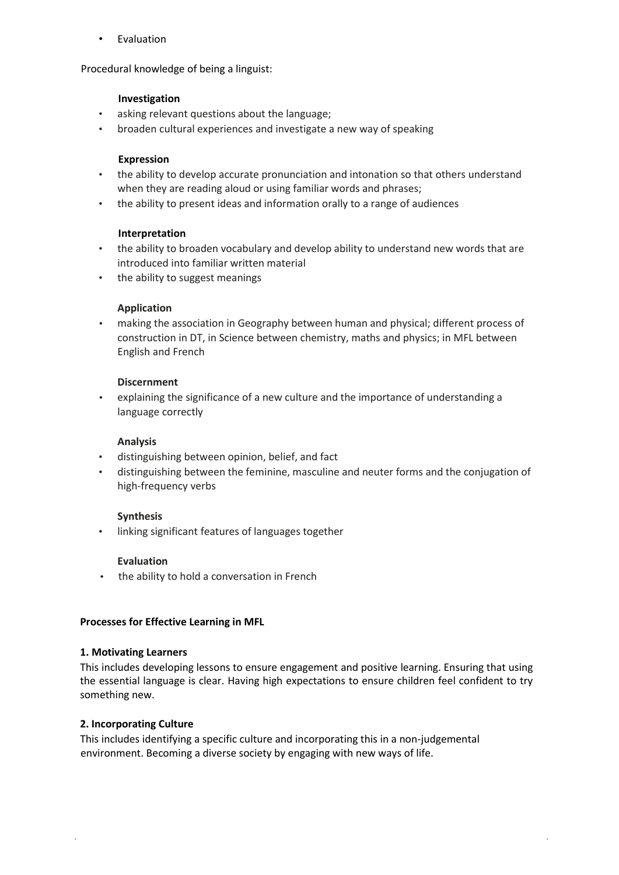**Evaluation** 

Procedural knowledge of being a linguist:

#### **Investigation**

- asking relevant questions about the language;
- broaden cultural experiences and investigate a new way of speaking

#### **Expression**

- the ability to develop accurate pronunciation and intonation so that others understand when they are reading aloud or using familiar words and phrases;
- the ability to present ideas and information orally to a range of audiences

### **Interpretation**

- the ability to broaden vocabulary and develop ability to understand new words that are introduced into familiar written material
- the ability to suggest meanings

### **Application**

• making the association in Geography between human and physical; different process of construction in DT, in Science between chemistry, maths and physics; in MFL between English and French

#### **Discernment**

• explaining the significance of a new culture and the importance of understanding a language correctly

#### **Analysis**

- distinguishing between opinion, belief, and fact
- distinguishing between the feminine, masculine and neuter forms and the conjugation of high-frequency verbs

#### **Synthesis**

• linking significant features of languages together

#### **Evaluation**

• the ability to hold a conversation in French

#### **Processes for Effective Learning in MFL**

#### **1. Motivating Learners**

This includes developing lessons to ensure engagement and positive learning. Ensuring that using the essential language is clear. Having high expectations to ensure children feel confident to try something new.

#### **2. Incorporating Culture**

This includes identifying a specific culture and incorporating this in a non-judgemental environment. Becoming a diverse society by engaging with new ways of life.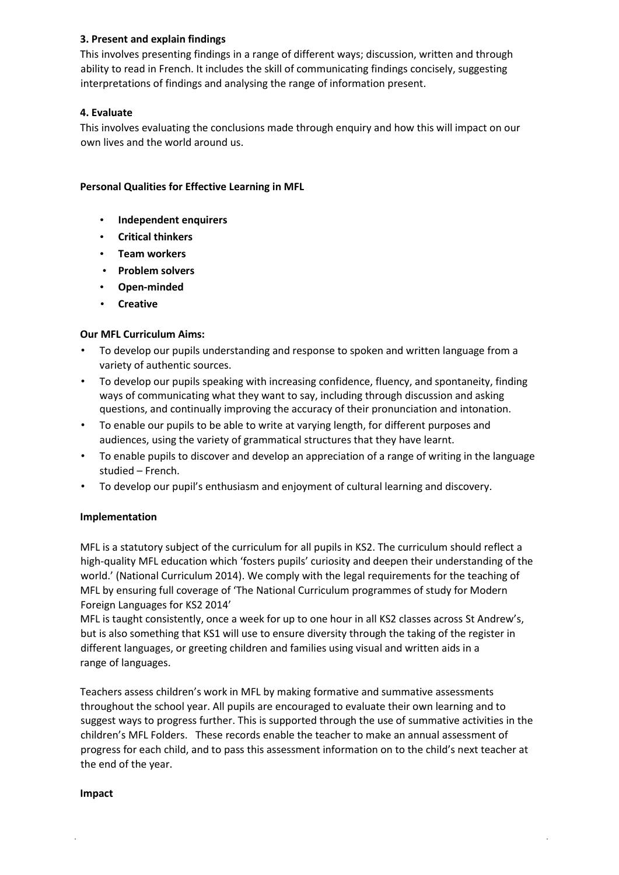# **3. Present and explain findings**

This involves presenting findings in a range of different ways; discussion, written and through ability to read in French. It includes the skill of communicating findings concisely, suggesting interpretations of findings and analysing the range of information present.

# **4. Evaluate**

This involves evaluating the conclusions made through enquiry and how this will impact on our own lives and the world around us.

# **Personal Qualities for Effective Learning in MFL**

- **Independent enquirers**
- **Critical thinkers**
- **Team workers**
- **Problem solvers**
- **Open-minded**
- **Creative**

# **Our MFL Curriculum Aims:**

- To develop our pupils understanding and response to spoken and written language from a variety of authentic sources.
- To develop our pupils speaking with increasing confidence, fluency, and spontaneity, finding ways of communicating what they want to say, including through discussion and asking questions, and continually improving the accuracy of their pronunciation and intonation.
- To enable our pupils to be able to write at varying length, for different purposes and audiences, using the variety of grammatical structures that they have learnt.
- To enable pupils to discover and develop an appreciation of a range of writing in the language studied – French.
- To develop our pupil's enthusiasm and enjoyment of cultural learning and discovery.

# **Implementation**

MFL is a statutory subject of the curriculum for all pupils in KS2. The curriculum should reflect a high-quality MFL education which 'fosters pupils' curiosity and deepen their understanding of the world.' (National Curriculum 2014). We comply with the legal requirements for the teaching of MFL by ensuring full coverage of 'The National Curriculum programmes of study for Modern Foreign Languages for KS2 2014'

MFL is taught consistently, once a week for up to one hour in all KS2 classes across St Andrew's, but is also something that KS1 will use to ensure diversity through the taking of the register in different languages, or greeting children and families using visual and written aids in a range of languages.

Teachers assess children's work in MFL by making formative and summative assessments throughout the school year. All pupils are encouraged to evaluate their own learning and to suggest ways to progress further. This is supported through the use of summative activities in the children's MFL Folders. These records enable the teacher to make an annual assessment of progress for each child, and to pass this assessment information on to the child's next teacher at the end of the year.

#### **Impact**